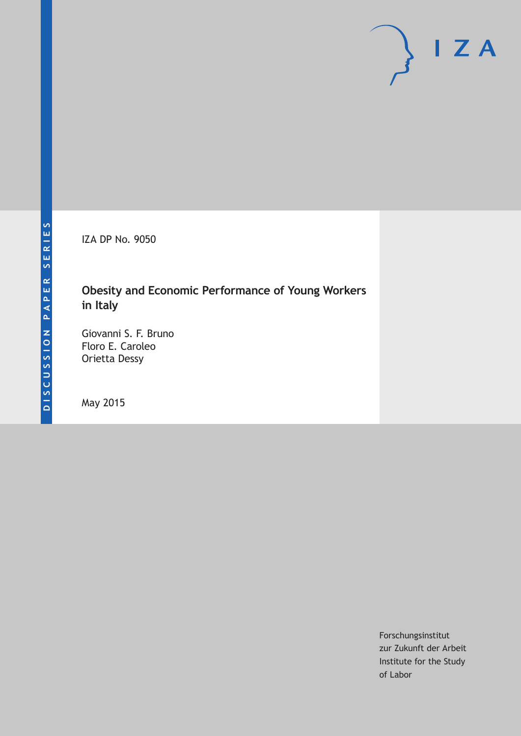IZA DP No. 9050

### **Obesity and Economic Performance of Young Workers in Italy**

Giovanni S. F. Bruno Floro E. Caroleo Orietta Dessy

May 2015

Forschungsinstitut zur Zukunft der Arbeit Institute for the Study of Labor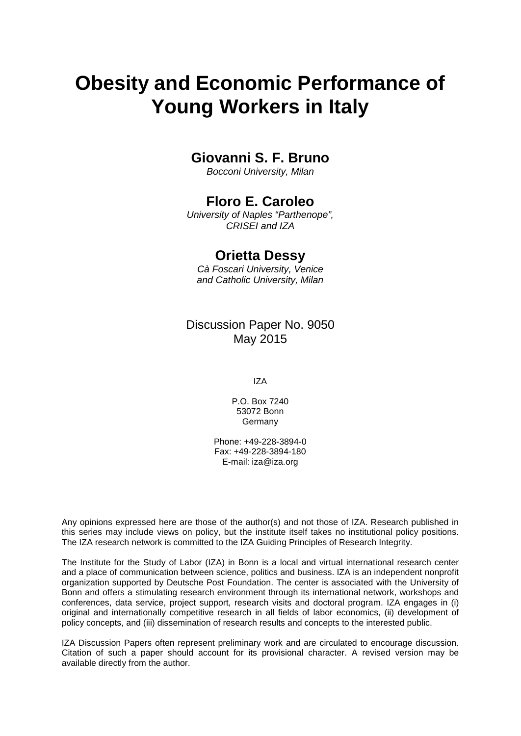# **Obesity and Economic Performance of Young Workers in Italy**

### **Giovanni S. F. Bruno**

*Bocconi University, Milan*

### **Floro E. Caroleo**

*University of Naples "Parthenope", CRISEI and IZA*

### **Orietta Dessy**

*Cà Foscari University, Venice and Catholic University, Milan*

Discussion Paper No. 9050 May 2015

IZA

P.O. Box 7240 53072 Bonn Germany

Phone: +49-228-3894-0 Fax: +49-228-3894-180 E-mail: iza@iza.org

Any opinions expressed here are those of the author(s) and not those of IZA. Research published in this series may include views on policy, but the institute itself takes no institutional policy positions. The IZA research network is committed to the IZA Guiding Principles of Research Integrity.

The Institute for the Study of Labor (IZA) in Bonn is a local and virtual international research center and a place of communication between science, politics and business. IZA is an independent nonprofit organization supported by Deutsche Post Foundation. The center is associated with the University of Bonn and offers a stimulating research environment through its international network, workshops and conferences, data service, project support, research visits and doctoral program. IZA engages in (i) original and internationally competitive research in all fields of labor economics, (ii) development of policy concepts, and (iii) dissemination of research results and concepts to the interested public.

IZA Discussion Papers often represent preliminary work and are circulated to encourage discussion. Citation of such a paper should account for its provisional character. A revised version may be available directly from the author.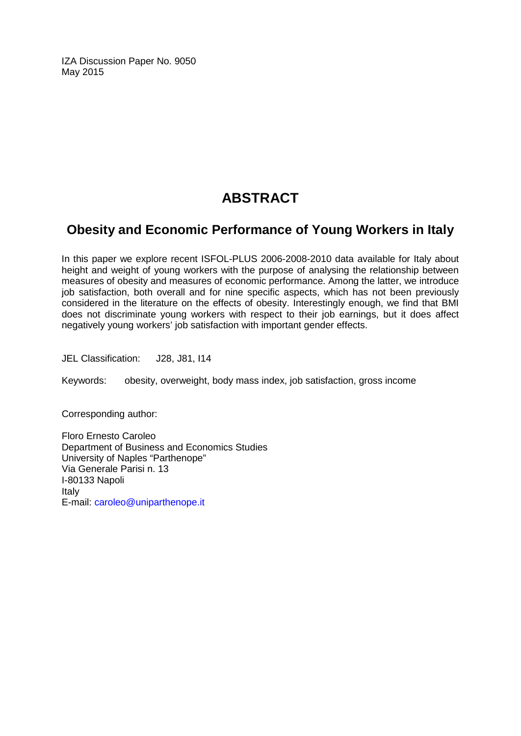IZA Discussion Paper No. 9050 May 2015

## **ABSTRACT**

### **Obesity and Economic Performance of Young Workers in Italy**

In this paper we explore recent ISFOL-PLUS 2006-2008-2010 data available for Italy about height and weight of young workers with the purpose of analysing the relationship between measures of obesity and measures of economic performance. Among the latter, we introduce job satisfaction, both overall and for nine specific aspects, which has not been previously considered in the literature on the effects of obesity. Interestingly enough, we find that BMI does not discriminate young workers with respect to their job earnings, but it does affect negatively young workers' job satisfaction with important gender effects.

JEL Classification: J28, J81, I14

Keywords: obesity, overweight, body mass index, job satisfaction, gross income

Corresponding author:

Floro Ernesto Caroleo Department of Business and Economics Studies University of Naples "Parthenope" Via Generale Parisi n. 13 I-80133 Napoli Italy E-mail: [caroleo@uniparthenope.it](mailto:caroleo@uniparthenope.it)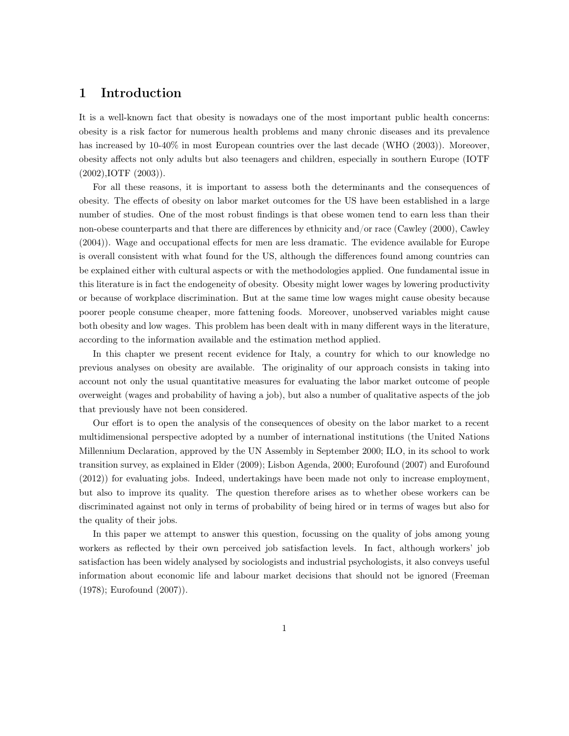#### 1 Introduction

It is a well-known fact that obesity is nowadays one of the most important public health concerns: obesity is a risk factor for numerous health problems and many chronic diseases and its prevalence has increased by  $10-40\%$  in most European countries over the last decade (WHO (2003)). Moreover, obesity affects not only adults but also teenagers and children, especially in southern Europe (IOTF (2002),IOTF (2003)).

For all these reasons, it is important to assess both the determinants and the consequences of obesity. The effects of obesity on labor market outcomes for the US have been established in a large number of studies. One of the most robust findings is that obese women tend to earn less than their non-obese counterparts and that there are differences by ethnicity and/or race (Cawley (2000), Cawley (2004)). Wage and occupational effects for men are less dramatic. The evidence available for Europe is overall consistent with what found for the US, although the differences found among countries can be explained either with cultural aspects or with the methodologies applied. One fundamental issue in this literature is in fact the endogeneity of obesity. Obesity might lower wages by lowering productivity or because of workplace discrimination. But at the same time low wages might cause obesity because poorer people consume cheaper, more fattening foods. Moreover, unobserved variables might cause both obesity and low wages. This problem has been dealt with in many different ways in the literature, according to the information available and the estimation method applied.

In this chapter we present recent evidence for Italy, a country for which to our knowledge no previous analyses on obesity are available. The originality of our approach consists in taking into account not only the usual quantitative measures for evaluating the labor market outcome of people overweight (wages and probability of having a job), but also a number of qualitative aspects of the job that previously have not been considered.

Our effort is to open the analysis of the consequences of obesity on the labor market to a recent multidimensional perspective adopted by a number of international institutions (the United Nations Millennium Declaration, approved by the UN Assembly in September 2000; ILO, in its school to work transition survey, as explained in Elder (2009); Lisbon Agenda, 2000; Eurofound (2007) and Eurofound (2012)) for evaluating jobs. Indeed, undertakings have been made not only to increase employment, but also to improve its quality. The question therefore arises as to whether obese workers can be discriminated against not only in terms of probability of being hired or in terms of wages but also for the quality of their jobs.

In this paper we attempt to answer this question, focussing on the quality of jobs among young workers as reflected by their own perceived job satisfaction levels. In fact, although workers' job satisfaction has been widely analysed by sociologists and industrial psychologists, it also conveys useful information about economic life and labour market decisions that should not be ignored (Freeman (1978); Eurofound (2007)).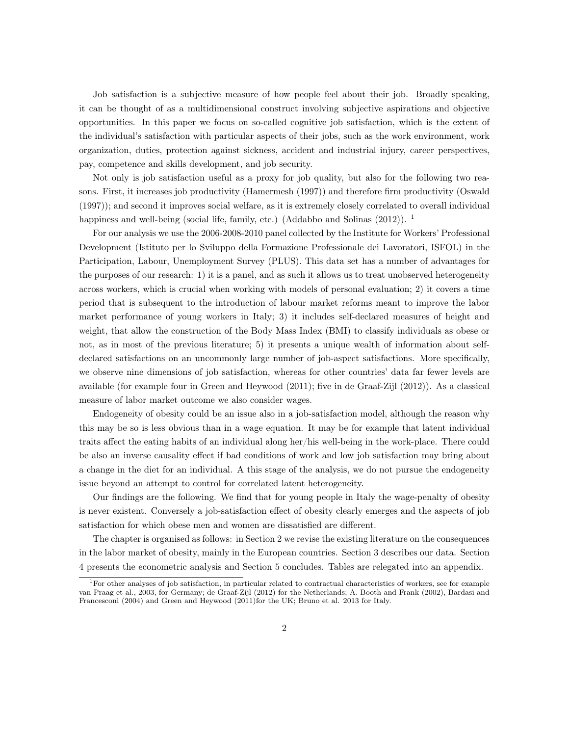Job satisfaction is a subjective measure of how people feel about their job. Broadly speaking, it can be thought of as a multidimensional construct involving subjective aspirations and objective opportunities. In this paper we focus on so-called cognitive job satisfaction, which is the extent of the individual's satisfaction with particular aspects of their jobs, such as the work environment, work organization, duties, protection against sickness, accident and industrial injury, career perspectives, pay, competence and skills development, and job security.

Not only is job satisfaction useful as a proxy for job quality, but also for the following two reasons. First, it increases job productivity (Hamermesh (1997)) and therefore firm productivity (Oswald (1997)); and second it improves social welfare, as it is extremely closely correlated to overall individual happiness and well-being (social life, family, etc.) (Addabbo and Solinas  $(2012)$ ). <sup>1</sup>

For our analysis we use the 2006-2008-2010 panel collected by the Institute for Workers' Professional Development (Istituto per lo Sviluppo della Formazione Professionale dei Lavoratori, ISFOL) in the Participation, Labour, Unemployment Survey (PLUS). This data set has a number of advantages for the purposes of our research: 1) it is a panel, and as such it allows us to treat unobserved heterogeneity across workers, which is crucial when working with models of personal evaluation; 2) it covers a time period that is subsequent to the introduction of labour market reforms meant to improve the labor market performance of young workers in Italy; 3) it includes self-declared measures of height and weight, that allow the construction of the Body Mass Index (BMI) to classify individuals as obese or not, as in most of the previous literature; 5) it presents a unique wealth of information about selfdeclared satisfactions on an uncommonly large number of job-aspect satisfactions. More specifically, we observe nine dimensions of job satisfaction, whereas for other countries' data far fewer levels are available (for example four in Green and Heywood (2011); five in de Graaf-Zijl (2012)). As a classical measure of labor market outcome we also consider wages.

Endogeneity of obesity could be an issue also in a job-satisfaction model, although the reason why this may be so is less obvious than in a wage equation. It may be for example that latent individual traits affect the eating habits of an individual along her/his well-being in the work-place. There could be also an inverse causality effect if bad conditions of work and low job satisfaction may bring about a change in the diet for an individual. A this stage of the analysis, we do not pursue the endogeneity issue beyond an attempt to control for correlated latent heterogeneity.

Our findings are the following. We find that for young people in Italy the wage-penalty of obesity is never existent. Conversely a job-satisfaction effect of obesity clearly emerges and the aspects of job satisfaction for which obese men and women are dissatisfied are different.

The chapter is organised as follows: in Section 2 we revise the existing literature on the consequences in the labor market of obesity, mainly in the European countries. Section 3 describes our data. Section 4 presents the econometric analysis and Section 5 concludes. Tables are relegated into an appendix.

<sup>1</sup>For other analyses of job satisfaction, in particular related to contractual characteristics of workers, see for example van Praag et al., 2003, for Germany; de Graaf-Zijl (2012) for the Netherlands; A. Booth and Frank (2002), Bardasi and Francesconi (2004) and Green and Heywood (2011)for the UK; Bruno et al. 2013 for Italy.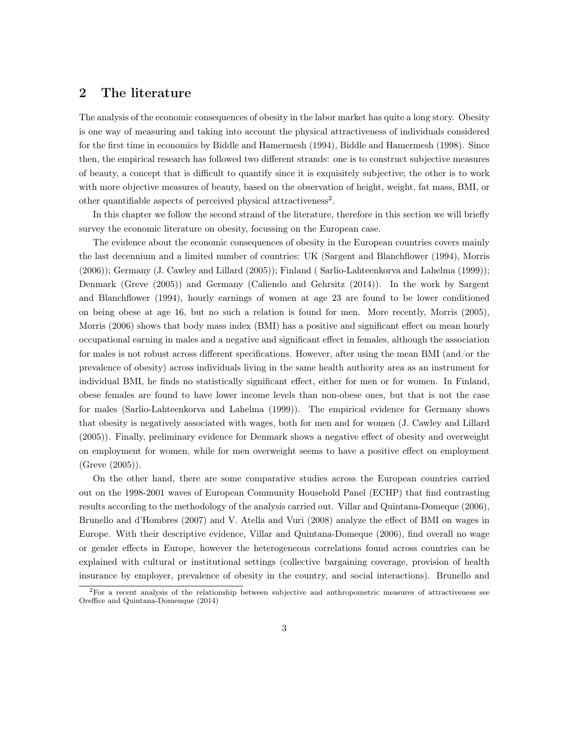#### 2 The literature

The analysis of the economic consequences of obesity in the labor market has quite a long story. Obesity is one way of measuring and taking into account the physical attractiveness of individuals considered for the first time in economics by Biddle and Hamermesh (1994), Biddle and Hamermesh (1998). Since then, the empirical research has followed two different strands: one is to construct subjective measures of beauty, a concept that is difficult to quantify since it is exquisitely subjective; the other is to work with more objective measures of beauty, based on the observation of height, weight, fat mass, BMI, or other quantifiable aspects of perceived physical attractiveness<sup>2</sup>.

In this chapter we follow the second strand of the literature, therefore in this section we will briefly survey the economic literature on obesity, focussing on the European case.

The evidence about the economic consequences of obesity in the European countries covers mainly the last decennium and a limited number of countries: UK (Sargent and Blanchflower (1994), Morris (2006)); Germany (J. Cawley and Lillard (2005)); Finland ( Sarlio-Lahteenkorva and Lahelma (1999)); Denmark (Greve (2005)) and Germany (Caliendo and Gehrsitz (2014)). In the work by Sargent and Blanchflower (1994), hourly earnings of women at age 23 are found to be lower conditioned on being obese at age 16, but no such a relation is found for men. More recently, Morris (2005), Morris (2006) shows that body mass index (BMI) has a positive and significant effect on mean hourly occupational earning in males and a negative and significant effect in females, although the association for males is not robust across different specifications. However, after using the mean BMI (and/or the prevalence of obesity) across individuals living in the same health authority area as an instrument for individual BMI, he finds no statistically significant effect, either for men or for women. In Finland, obese females are found to have lower income levels than non-obese ones, but that is not the case for males (Sarlio-Lahteenkorva and Lahelma (1999)). The empirical evidence for Germany shows that obesity is negatively associated with wages, both for men and for women (J. Cawley and Lillard (2005)). Finally, preliminary evidence for Denmark shows a negative effect of obesity and overweight on employment for women, while for men overweight seems to have a positive effect on employment (Greve (2005)).

On the other hand, there are some comparative studies across the European countries carried out on the 1998-2001 waves of European Community Household Panel (ECHP) that find contrasting results according to the methodology of the analysis carried out. Villar and Quintana-Domeque (2006), Brunello and d'Hombres (2007) and V. Atella and Vuri (2008) analyze the effect of BMI on wages in Europe. With their descriptive evidence, Villar and Quintana-Domeque (2006), find overall no wage or gender effects in Europe, however the heterogeneous correlations found across countries can be explained with cultural or institutional settings (collective bargaining coverage, provision of health insurance by employer, prevalence of obesity in the country, and social interactions). Brunello and

<sup>2</sup>For a recent analysis of the relationship between subjective and anthropometric measures of attractiveness see Oreffice and Quintana-Domenque (2014)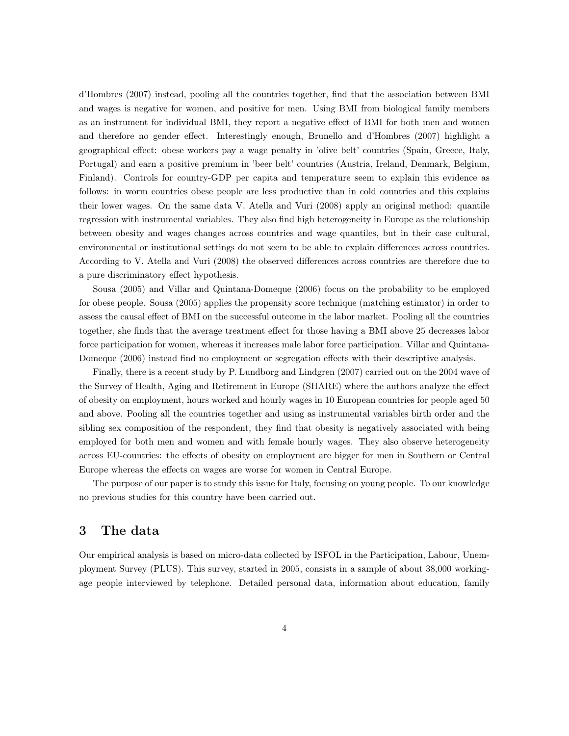d'Hombres (2007) instead, pooling all the countries together, find that the association between BMI and wages is negative for women, and positive for men. Using BMI from biological family members as an instrument for individual BMI, they report a negative effect of BMI for both men and women and therefore no gender effect. Interestingly enough, Brunello and d'Hombres (2007) highlight a geographical effect: obese workers pay a wage penalty in 'olive belt' countries (Spain, Greece, Italy, Portugal) and earn a positive premium in 'beer belt' countries (Austria, Ireland, Denmark, Belgium, Finland). Controls for country-GDP per capita and temperature seem to explain this evidence as follows: in worm countries obese people are less productive than in cold countries and this explains their lower wages. On the same data V. Atella and Vuri (2008) apply an original method: quantile regression with instrumental variables. They also find high heterogeneity in Europe as the relationship between obesity and wages changes across countries and wage quantiles, but in their case cultural, environmental or institutional settings do not seem to be able to explain differences across countries. According to V. Atella and Vuri (2008) the observed differences across countries are therefore due to a pure discriminatory effect hypothesis.

Sousa (2005) and Villar and Quintana-Domeque (2006) focus on the probability to be employed for obese people. Sousa (2005) applies the propensity score technique (matching estimator) in order to assess the causal effect of BMI on the successful outcome in the labor market. Pooling all the countries together, she finds that the average treatment effect for those having a BMI above 25 decreases labor force participation for women, whereas it increases male labor force participation. Villar and Quintana-Domeque (2006) instead find no employment or segregation effects with their descriptive analysis.

Finally, there is a recent study by P. Lundborg and Lindgren (2007) carried out on the 2004 wave of the Survey of Health, Aging and Retirement in Europe (SHARE) where the authors analyze the effect of obesity on employment, hours worked and hourly wages in 10 European countries for people aged 50 and above. Pooling all the countries together and using as instrumental variables birth order and the sibling sex composition of the respondent, they find that obesity is negatively associated with being employed for both men and women and with female hourly wages. They also observe heterogeneity across EU-countries: the effects of obesity on employment are bigger for men in Southern or Central Europe whereas the effects on wages are worse for women in Central Europe.

The purpose of our paper is to study this issue for Italy, focusing on young people. To our knowledge no previous studies for this country have been carried out.

#### 3 The data

Our empirical analysis is based on micro-data collected by ISFOL in the Participation, Labour, Unemployment Survey (PLUS). This survey, started in 2005, consists in a sample of about 38,000 workingage people interviewed by telephone. Detailed personal data, information about education, family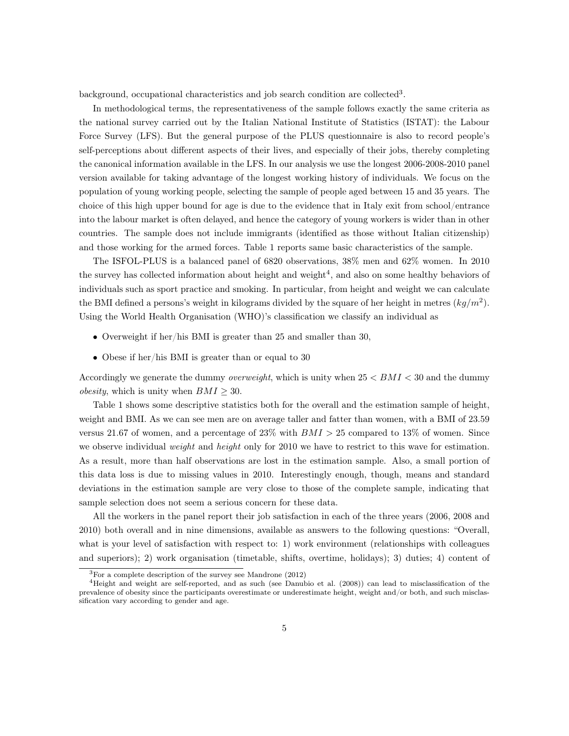background, occupational characteristics and job search condition are collected<sup>3</sup>.

In methodological terms, the representativeness of the sample follows exactly the same criteria as the national survey carried out by the Italian National Institute of Statistics (ISTAT): the Labour Force Survey (LFS). But the general purpose of the PLUS questionnaire is also to record people's self-perceptions about different aspects of their lives, and especially of their jobs, thereby completing the canonical information available in the LFS. In our analysis we use the longest 2006-2008-2010 panel version available for taking advantage of the longest working history of individuals. We focus on the population of young working people, selecting the sample of people aged between 15 and 35 years. The choice of this high upper bound for age is due to the evidence that in Italy exit from school/entrance into the labour market is often delayed, and hence the category of young workers is wider than in other countries. The sample does not include immigrants (identified as those without Italian citizenship) and those working for the armed forces. Table 1 reports same basic characteristics of the sample.

The ISFOL-PLUS is a balanced panel of 6820 observations, 38% men and 62% women. In 2010 the survey has collected information about height and weight<sup>4</sup>, and also on some healthy behaviors of individuals such as sport practice and smoking. In particular, from height and weight we can calculate the BMI defined a persons's weight in kilograms divided by the square of her height in metres (*kg/m*<sup>2</sup>). Using the World Health Organisation (WHO)'s classification we classify an individual as

- Overweight if her/his BMI is greater than 25 and smaller than 30,
- Obese if her/his BMI is greater than or equal to 30

Accordingly we generate the dummy *overweight*, which is unity when 25 *< BMI <* 30 and the dummy *obesity*, which is unity when  $BMI \geq 30$ .

Table 1 shows some descriptive statistics both for the overall and the estimation sample of height, weight and BMI. As we can see men are on average taller and fatter than women, with a BMI of 23.59 versus 21.67 of women, and a percentage of 23% with *BMI >* 25 compared to 13% of women. Since we observe individual *weight* and *height* only for 2010 we have to restrict to this wave for estimation. As a result, more than half observations are lost in the estimation sample. Also, a small portion of this data loss is due to missing values in 2010. Interestingly enough, though, means and standard deviations in the estimation sample are very close to those of the complete sample, indicating that sample selection does not seem a serious concern for these data.

All the workers in the panel report their job satisfaction in each of the three years (2006, 2008 and 2010) both overall and in nine dimensions, available as answers to the following questions: "Overall, what is your level of satisfaction with respect to: 1) work environment (relationships with colleagues and superiors); 2) work organisation (timetable, shifts, overtime, holidays); 3) duties; 4) content of

<sup>3</sup>For a complete description of the survey see Mandrone (2012)

<sup>4</sup>Height and weight are self-reported, and as such (see Danubio et al. (2008)) can lead to misclassification of the prevalence of obesity since the participants overestimate or underestimate height, weight and/or both, and such misclassification vary according to gender and age.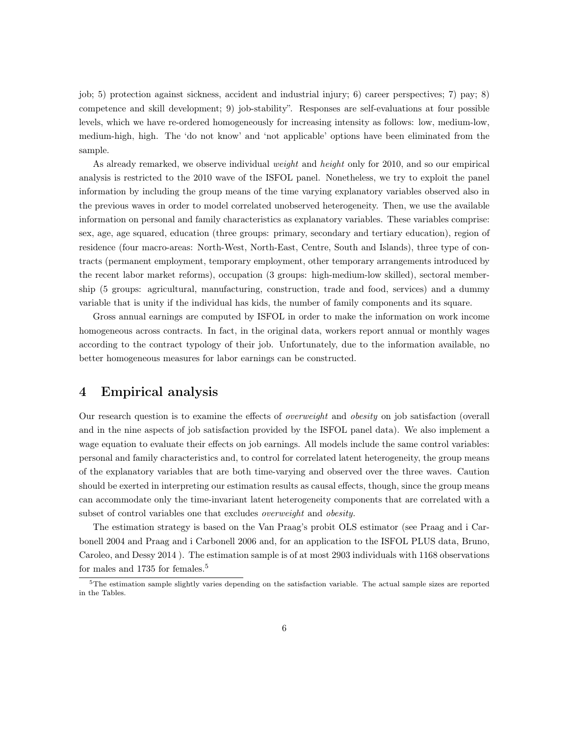job; 5) protection against sickness, accident and industrial injury; 6) career perspectives; 7) pay; 8) competence and skill development; 9) job-stability". Responses are self-evaluations at four possible levels, which we have re-ordered homogeneously for increasing intensity as follows: low, medium-low, medium-high, high. The 'do not know' and 'not applicable' options have been eliminated from the sample.

As already remarked, we observe individual *weight* and *height* only for 2010, and so our empirical analysis is restricted to the 2010 wave of the ISFOL panel. Nonetheless, we try to exploit the panel information by including the group means of the time varying explanatory variables observed also in the previous waves in order to model correlated unobserved heterogeneity. Then, we use the available information on personal and family characteristics as explanatory variables. These variables comprise: sex, age, age squared, education (three groups: primary, secondary and tertiary education), region of residence (four macro-areas: North-West, North-East, Centre, South and Islands), three type of contracts (permanent employment, temporary employment, other temporary arrangements introduced by the recent labor market reforms), occupation (3 groups: high-medium-low skilled), sectoral membership (5 groups: agricultural, manufacturing, construction, trade and food, services) and a dummy variable that is unity if the individual has kids, the number of family components and its square.

Gross annual earnings are computed by ISFOL in order to make the information on work income homogeneous across contracts. In fact, in the original data, workers report annual or monthly wages according to the contract typology of their job. Unfortunately, due to the information available, no better homogeneous measures for labor earnings can be constructed.

#### 4 Empirical analysis

Our research question is to examine the effects of *overweight* and *obesity* on job satisfaction (overall and in the nine aspects of job satisfaction provided by the ISFOL panel data). We also implement a wage equation to evaluate their effects on job earnings. All models include the same control variables: personal and family characteristics and, to control for correlated latent heterogeneity, the group means of the explanatory variables that are both time-varying and observed over the three waves. Caution should be exerted in interpreting our estimation results as causal effects, though, since the group means can accommodate only the time-invariant latent heterogeneity components that are correlated with a subset of control variables one that excludes *overweight* and *obesity.*

The estimation strategy is based on the Van Praag's probit OLS estimator (see Praag and i Carbonell 2004 and Praag and i Carbonell 2006 and, for an application to the ISFOL PLUS data, Bruno, Caroleo, and Dessy 2014 ). The estimation sample is of at most 2903 individuals with 1168 observations for males and 1735 for females.<sup>5</sup>

<sup>5</sup>The estimation sample slightly varies depending on the satisfaction variable. The actual sample sizes are reported in the Tables.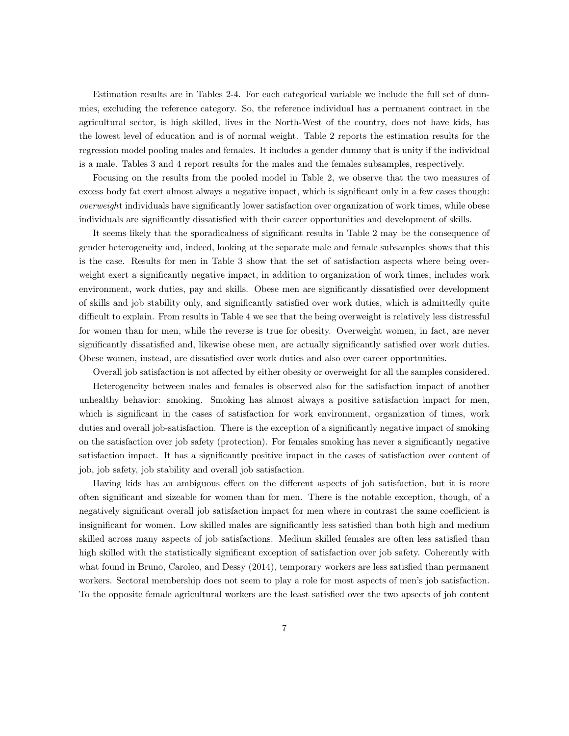Estimation results are in Tables 2-4. For each categorical variable we include the full set of dummies, excluding the reference category. So, the reference individual has a permanent contract in the agricultural sector, is high skilled, lives in the North-West of the country, does not have kids, has the lowest level of education and is of normal weight. Table 2 reports the estimation results for the regression model pooling males and females. It includes a gender dummy that is unity if the individual is a male. Tables 3 and 4 report results for the males and the females subsamples, respectively.

Focusing on the results from the pooled model in Table 2, we observe that the two measures of excess body fat exert almost always a negative impact, which is significant only in a few cases though: *overweigh*t individuals have significantly lower satisfaction over organization of work times, while obese individuals are significantly dissatisfied with their career opportunities and development of skills.

It seems likely that the sporadicalness of significant results in Table 2 may be the consequence of gender heterogeneity and, indeed, looking at the separate male and female subsamples shows that this is the case. Results for men in Table 3 show that the set of satisfaction aspects where being overweight exert a significantly negative impact, in addition to organization of work times, includes work environment, work duties, pay and skills. Obese men are significantly dissatisfied over development of skills and job stability only, and significantly satisfied over work duties, which is admittedly quite difficult to explain. From results in Table 4 we see that the being overweight is relatively less distressful for women than for men, while the reverse is true for obesity. Overweight women, in fact, are never significantly dissatisfied and, likewise obese men, are actually significantly satisfied over work duties. Obese women, instead, are dissatisfied over work duties and also over career opportunities.

Overall job satisfaction is not affected by either obesity or overweight for all the samples considered.

Heterogeneity between males and females is observed also for the satisfaction impact of another unhealthy behavior: smoking. Smoking has almost always a positive satisfaction impact for men, which is significant in the cases of satisfaction for work environment, organization of times, work duties and overall job-satisfaction. There is the exception of a significantly negative impact of smoking on the satisfaction over job safety (protection). For females smoking has never a significantly negative satisfaction impact. It has a significantly positive impact in the cases of satisfaction over content of job, job safety, job stability and overall job satisfaction.

Having kids has an ambiguous effect on the different aspects of job satisfaction, but it is more often significant and sizeable for women than for men. There is the notable exception, though, of a negatively significant overall job satisfaction impact for men where in contrast the same coefficient is insignificant for women. Low skilled males are significantly less satisfied than both high and medium skilled across many aspects of job satisfactions. Medium skilled females are often less satisfied than high skilled with the statistically significant exception of satisfaction over job safety. Coherently with what found in Bruno, Caroleo, and Dessy (2014), temporary workers are less satisfied than permanent workers. Sectoral membership does not seem to play a role for most aspects of men's job satisfaction. To the opposite female agricultural workers are the least satisfied over the two apsects of job content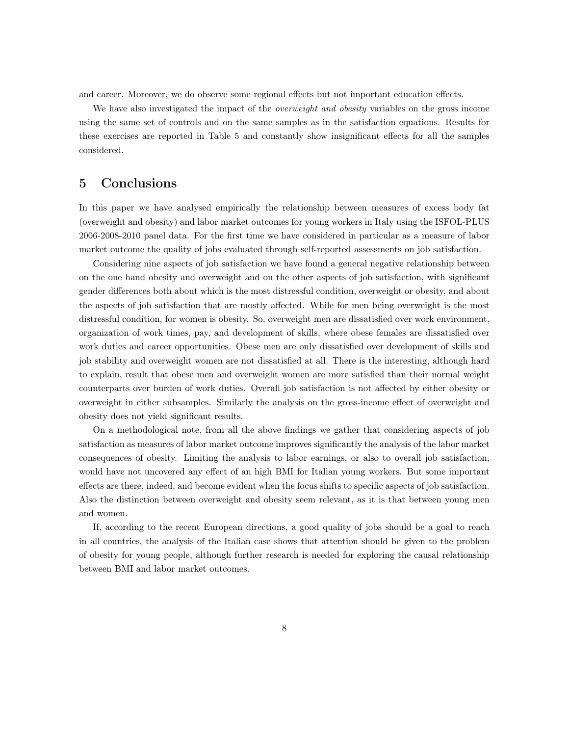and career. Moreover, we do observe some regional effects but not important education effects.

We have also investigated the impact of the *overweight and obesity* variables on the gross income using the same set of controls and on the same samples as in the satisfaction equations. Results for these exercises are reported in Table 5 and constantly show insignificant effects for all the samples considered.

#### 5 Conclusions

In this paper we have analysed empirically the relationship between measures of excess body fat (overweight and obesity) and labor market outcomes for young workers in Italy using the ISFOL-PLUS 2006-2008-2010 panel data. For the first time we have considered in particular as a measure of labor market outcome the quality of jobs evaluated through self-reported assessments on job satisfaction.

Considering nine aspects of job satisfaction we have found a general negative relationship between on the one hand obesity and overweight and on the other aspects of job satisfaction, with significant gender differences both about which is the most distressful condition, overweight or obesity, and about the aspects of job satisfaction that are mostly affected. While for men being overweight is the most distressful condition, for women is obesity. So, overweight men are dissatisfied over work environment, organization of work times, pay, and development of skills, where obese females are dissatisfied over work duties and career opportunities. Obese men are only dissatisfied over development of skills and job stability and overweight women are not dissatisfied at all. There is the interesting, although hard to explain, result that obese men and overweight women are more satisfied than their normal weight counterparts over burden of work duties. Overall job satisfaction is not affected by either obesity or overweight in either subsamples. Similarly the analysis on the gross-income effect of overweight and obesity does not yield significant results.

On a methodological note, from all the above findings we gather that considering aspects of job satisfaction as measures of labor market outcome improves significantly the analysis of the labor market consequences of obesity. Limiting the analysis to labor earnings, or also to overall job satisfaction, would have not uncovered any effect of an high BMI for Italian young workers. But some important effects are there, indeed, and become evident when the focus shifts to specific aspects of job satisfaction. Also the distinction between overweight and obesity seem relevant, as it is that between young men and women.

If, according to the recent European directions, a good quality of jobs should be a goal to reach in all countries, the analysis of the Italian case shows that attention should be given to the problem of obesity for young people, although further research is needed for exploring the causal relationship between BMI and labor market outcomes.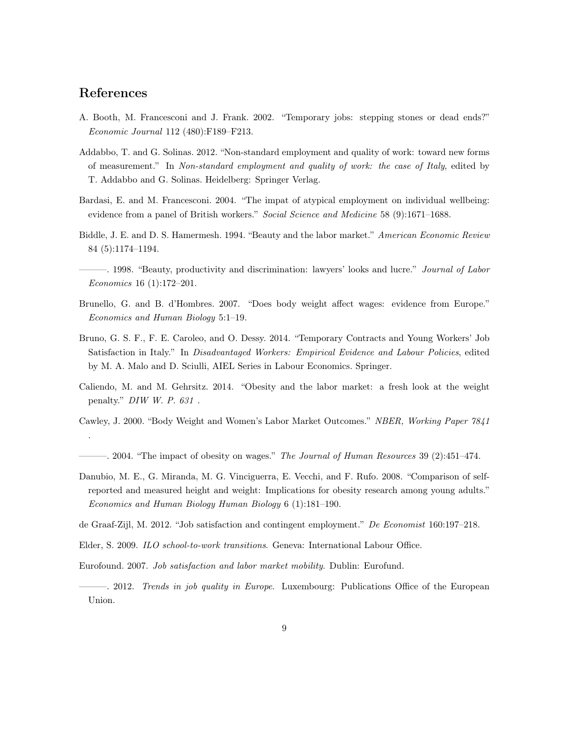#### References

.

- A. Booth, M. Francesconi and J. Frank. 2002. "Temporary jobs: stepping stones or dead ends?" *Economic Journal* 112 (480):F189–F213.
- Addabbo, T. and G. Solinas. 2012. "Non-standard employment and quality of work: toward new forms of measurement." In *Non-standard employment and quality of work: the case of Italy*, edited by T. Addabbo and G. Solinas. Heidelberg: Springer Verlag.
- Bardasi, E. and M. Francesconi. 2004. "The impat of atypical employment on individual wellbeing: evidence from a panel of British workers." *Social Science and Medicine* 58 (9):1671–1688.
- Biddle, J. E. and D. S. Hamermesh. 1994. "Beauty and the labor market." *American Economic Review* 84 (5):1174–1194.
- ———. 1998. "Beauty, productivity and discrimination: lawyers' looks and lucre." *Journal of Labor Economics* 16 (1):172–201.
- Brunello, G. and B. d'Hombres. 2007. "Does body weight affect wages: evidence from Europe." *Economics and Human Biology* 5:1–19.
- Bruno, G. S. F., F. E. Caroleo, and O. Dessy. 2014. "Temporary Contracts and Young Workers' Job Satisfaction in Italy." In *Disadvantaged Workers: Empirical Evidence and Labour Policies*, edited by M. A. Malo and D. Sciulli, AIEL Series in Labour Economics. Springer.
- Caliendo, M. and M. Gehrsitz. 2014. "Obesity and the labor market: a fresh look at the weight penalty." *DIW W. P. 631* .
- Cawley, J. 2000. "Body Weight and Women's Labor Market Outcomes." *NBER, Working Paper 7841*
- ———. 2004. "The impact of obesity on wages." *The Journal of Human Resources* 39 (2):451–474.
- Danubio, M. E., G. Miranda, M. G. Vinciguerra, E. Vecchi, and F. Rufo. 2008. "Comparison of selfreported and measured height and weight: Implications for obesity research among young adults." *Economics and Human Biology Human Biology* 6 (1):181–190.
- de Graaf-Zijl, M. 2012. "Job satisfaction and contingent employment." *De Economist* 160:197–218.
- Elder, S. 2009. *ILO school-to-work transitions*. Geneva: International Labour Office.
- Eurofound. 2007. *Job satisfaction and labor market mobility*. Dublin: Eurofund.
- ———. 2012. *Trends in job quality in Europe*. Luxembourg: Publications Office of the European Union.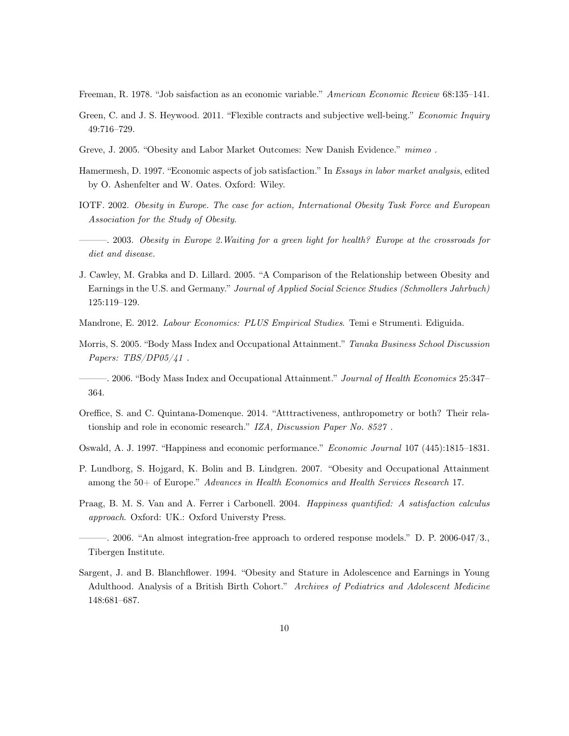- Freeman, R. 1978. "Job saisfaction as an economic variable." *American Economic Review* 68:135–141.
- Green, C. and J. S. Heywood. 2011. "Flexible contracts and subjective well-being." *Economic Inquiry* 49:716–729.
- Greve, J. 2005. "Obesity and Labor Market Outcomes: New Danish Evidence." *mimeo* .
- Hamermesh, D. 1997. "Economic aspects of job satisfaction." In *Essays in labor market analysis*, edited by O. Ashenfelter and W. Oates. Oxford: Wiley.
- IOTF. 2002. *Obesity in Europe. The case for action, International Obesity Task Force and European Association for the Study of Obesity*.
- ———. 2003. *Obesity in Europe 2.Waiting for a green light for health? Europe at the crossroads for diet and disease.*
- J. Cawley, M. Grabka and D. Lillard. 2005. "A Comparison of the Relationship between Obesity and Earnings in the U.S. and Germany." *Journal of Applied Social Science Studies (Schmollers Jahrbuch)* 125:119–129.
- Mandrone, E. 2012. *Labour Economics: PLUS Empirical Studies*. Temi e Strumenti. Ediguida.
- Morris, S. 2005. "Body Mass Index and Occupational Attainment." *Tanaka Business School Discussion Papers: TBS/DP05/41* .
- ———. 2006. "Body Mass Index and Occupational Attainment." *Journal of Health Economics* 25:347– 364.
- Oreffice, S. and C. Quintana-Domenque. 2014. "Atttractiveness, anthropometry or both? Their relationship and role in economic research." *IZA, Discussion Paper No. 8527* .
- Oswald, A. J. 1997. "Happiness and economic performance." *Economic Journal* 107 (445):1815–1831.
- P. Lundborg, S. Hojgard, K. Bolin and B. Lindgren. 2007. "Obesity and Occupational Attainment among the 50+ of Europe." *Advances in Health Economics and Health Services Research* 17.
- Praag, B. M. S. Van and A. Ferrer i Carbonell. 2004. *Happiness quantified: A satisfaction calculus approach*. Oxford: UK.: Oxford Universty Press.
- ———. 2006. "An almost integration-free approach to ordered response models." D. P. 2006-047/3., Tibergen Institute.
- Sargent, J. and B. Blanchflower. 1994. "Obesity and Stature in Adolescence and Earnings in Young Adulthood. Analysis of a British Birth Cohort." *Archives of Pediatrics and Adolescent Medicine* 148:681–687.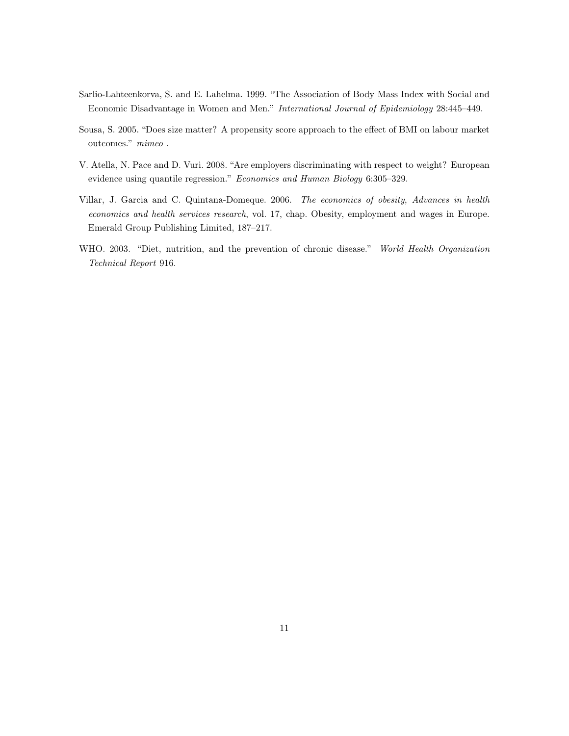- Sarlio-Lahteenkorva, S. and E. Lahelma. 1999. "The Association of Body Mass Index with Social and Economic Disadvantage in Women and Men." *International Journal of Epidemiology* 28:445–449.
- Sousa, S. 2005. "Does size matter? A propensity score approach to the effect of BMI on labour market outcomes." *mimeo* .
- V. Atella, N. Pace and D. Vuri. 2008. "Are employers discriminating with respect to weight? European evidence using quantile regression." *Economics and Human Biology* 6:305–329.
- Villar, J. Garcia and C. Quintana-Domeque. 2006. *The economics of obesity*, *Advances in health economics and health services research*, vol. 17, chap. Obesity, employment and wages in Europe. Emerald Group Publishing Limited, 187–217.
- WHO. 2003. "Diet, nutrition, and the prevention of chronic disease." *World Health Organization Technical Report* 916.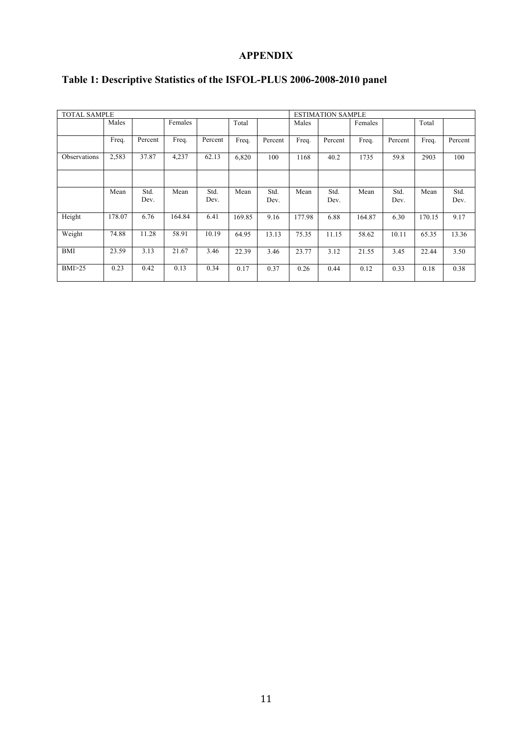#### **APPENDIX**

| <b>TOTAL SAMPLE</b> |        |         |         |         |        |         |        | <b>ESTIMATION SAMPLE</b> |         |         |        |         |  |
|---------------------|--------|---------|---------|---------|--------|---------|--------|--------------------------|---------|---------|--------|---------|--|
|                     | Males  |         | Females |         | Total  |         | Males  |                          | Females |         | Total  |         |  |
|                     |        |         |         |         |        |         |        |                          |         |         |        |         |  |
|                     | Freq.  | Percent | Freq.   | Percent | Freq.  | Percent | Freq.  | Percent                  | Freq.   | Percent | Freq.  | Percent |  |
| Observations        | 2,583  | 37.87   | 4,237   | 62.13   | 6,820  | 100     | 1168   | 40.2                     | 1735    | 59.8    | 2903   | 100     |  |
|                     |        |         |         |         |        |         |        |                          |         |         |        |         |  |
|                     |        |         |         |         |        |         |        |                          |         |         |        |         |  |
|                     | Mean   | Std.    | Mean    | Std.    | Mean   | Std.    | Mean   | Std.                     | Mean    | Std.    | Mean   | Std.    |  |
|                     |        | Dev.    |         | Dev.    |        | Dev.    |        | Dev.                     |         | Dev.    |        | Dev.    |  |
| Height              | 178.07 | 6.76    | 164.84  | 6.41    | 169.85 | 9.16    | 177.98 | 6.88                     | 164.87  | 6.30    | 170.15 | 9.17    |  |
| Weight              | 74.88  | 11.28   | 58.91   | 10.19   | 64.95  | 13.13   | 75.35  | 11.15                    | 58.62   | 10.11   | 65.35  | 13.36   |  |
| <b>BMI</b>          | 23.59  | 3.13    | 21.67   | 3.46    | 22.39  | 3.46    | 23.77  | 3.12                     | 21.55   | 3.45    | 22.44  | 3.50    |  |
| BMI>25              | 0.23   | 0.42    | 0.13    | 0.34    | 0.17   | 0.37    | 0.26   | 0.44                     | 0.12    | 0.33    | 0.18   | 0.38    |  |

### **Table 1: Descriptive Statistics of the ISFOL-PLUS 2006-2008-2010 panel**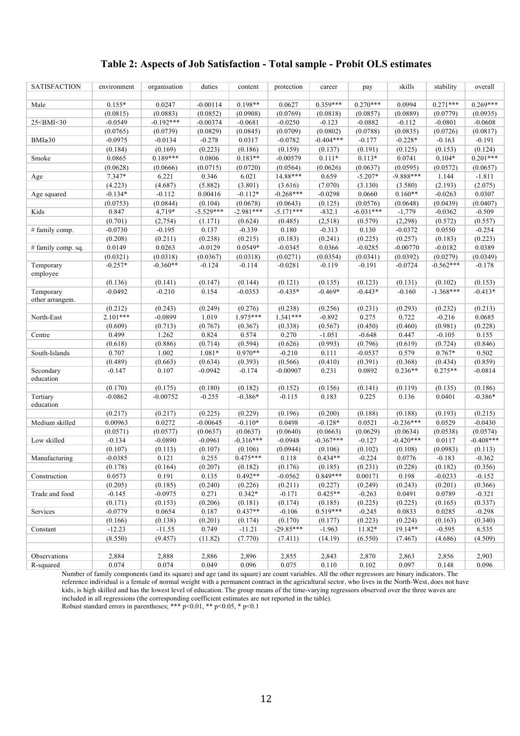#### **Table 2: Aspects of Job Satisfaction - Total sample - Probit OLS estimates**

| <b>SATISFACTION</b>                                                                                                                                                                                                                                                                                                             | environment | organisation | duties      | content     | protection  | career                | pay         | skills      | stability   | overall     |
|---------------------------------------------------------------------------------------------------------------------------------------------------------------------------------------------------------------------------------------------------------------------------------------------------------------------------------|-------------|--------------|-------------|-------------|-------------|-----------------------|-------------|-------------|-------------|-------------|
|                                                                                                                                                                                                                                                                                                                                 |             |              |             |             |             |                       |             |             |             |             |
| Male                                                                                                                                                                                                                                                                                                                            | $0.155*$    | 0.0247       | $-0.00114$  | $0.198**$   | 0.0627      | $0.359***$            | $0.270***$  | 0.0994      | $0.271***$  | $0.269***$  |
|                                                                                                                                                                                                                                                                                                                                 | (0.0815)    | (0.0883)     | (0.0852)    | (0.0908)    | (0.0769)    | (0.0818)              | (0.0857)    | (0.0889)    | (0.0779)    | (0.0935)    |
| 25 <bmi<30< td=""><td><math>-0.0549</math></td><td><math>-0.192***</math></td><td><math>-0.00374</math></td><td><math>-0.0681</math></td><td><math>-0.0250</math></td><td><math>-0.123</math></td><td><math>-0.0882</math></td><td><math>-0.112</math></td><td><math>-0.0801</math></td><td><math>-0.0608</math></td></bmi<30<> | $-0.0549$   | $-0.192***$  | $-0.00374$  | $-0.0681$   | $-0.0250$   | $-0.123$              | $-0.0882$   | $-0.112$    | $-0.0801$   | $-0.0608$   |
|                                                                                                                                                                                                                                                                                                                                 | (0.0765)    | (0.0739)     | (0.0829)    | (0.0845)    | (0.0709)    | (0.0802)              | (0.0788)    | (0.0835)    | (0.0726)    | (0.0817)    |
| $BMI \geq 30$                                                                                                                                                                                                                                                                                                                   | $-0.0975$   | $-0.0134$    | $-0.278$    | 0.0317      | $-0.0782$   | $-0.404***$           | $-0.177$    | $-0.228*$   | $-0.163$    | $-0.191$    |
|                                                                                                                                                                                                                                                                                                                                 | (0.184)     | (0.169)      | (0.223)     | (0.186)     | (0.159)     | (0.137)               | (0.191)     | (0.125)     | (0.153)     | (0.124)     |
| Smoke                                                                                                                                                                                                                                                                                                                           | 0.0865      | $0.189***$   | 0.0806      | $0.183**$   | $-0.00579$  | $0.111*$              | $0.113*$    | 0.0741      | $0.104*$    | $0.201***$  |
|                                                                                                                                                                                                                                                                                                                                 | (0.0628)    | (0.0666)     | (0.0715)    | (0.0720)    | (0.0564)    | (0.0626)              | (0.0637)    | (0.0595)    | (0.0572)    | (0.0657)    |
| Age                                                                                                                                                                                                                                                                                                                             | $7.347*$    | 6.221        | 0.346       | 6.021       | 14.88***    | 0.659                 | $-5.207*$   | $-9.888***$ | 1.144       | $-1.811$    |
|                                                                                                                                                                                                                                                                                                                                 | (4.223)     | (4.687)      | (5.882)     | (3.801)     | (3.616)     | (7.070)               | (3.130)     | (3.580)     | (2.193)     | (2.075)     |
| Age squared                                                                                                                                                                                                                                                                                                                     | $-0.134*$   | $-0.112$     | 0.00416     | $-0.112*$   | $-0.268***$ | $-0.0298$             | 0.0660      | $0.160**$   | $-0.0263$   | 0.0307      |
|                                                                                                                                                                                                                                                                                                                                 |             |              | (0.104)     |             |             |                       | (0.0576)    |             |             | (0.0407)    |
|                                                                                                                                                                                                                                                                                                                                 | (0.0753)    | (0.0844)     |             | (0.0678)    | (0.0643)    | (0.125)               |             | (0.0648)    | (0.0439)    |             |
| Kids                                                                                                                                                                                                                                                                                                                            | 0.847       | 4,719*       | $-5.529***$ | $-2.981***$ | $-5.171***$ | $-832.1$              | $-6.031***$ | $-1,779$    | $-0.0362$   | $-0.509$    |
|                                                                                                                                                                                                                                                                                                                                 | (0.701)     | (2,754)      | (1.171)     | (0.624)     | (0.485)     | (2,518)               | (0.579)     | (2,298)     | (0.572)     | (0.557)     |
| # family comp.                                                                                                                                                                                                                                                                                                                  | $-0.0730$   | $-0.195$     | 0.137       | $-0.339$    | 0.180       | $-0.313$              | 0.130       | $-0.0372$   | 0.0550      | $-0.254$    |
|                                                                                                                                                                                                                                                                                                                                 | (0.208)     | (0.211)      | (0.238)     | (0.215)     | (0.183)     | (0.241)               | (0.225)     | (0.257)     | (0.183)     | (0.223)     |
| # family comp. sq.                                                                                                                                                                                                                                                                                                              | 0.0149      | 0.0263       | $-0.0129$   | 0.0549*     | $-0.0345$   | 0.0366                | $-0.0285$   | $-0.00770$  | $-0.0182$   | 0.0389      |
|                                                                                                                                                                                                                                                                                                                                 | (0.0321)    | (0.0318)     | (0.0367)    | (0.0318)    | (0.0271)    | (0.0354)              | (0.0341)    | (0.0392)    | (0.0279)    | (0.0349)    |
| Temporary                                                                                                                                                                                                                                                                                                                       | $-0.257*$   | $-0.360**$   | $-0.124$    | $-0.114$    | $-0.0281$   | $-0.119$              | $-0.191$    | $-0.0724$   | $-0.562***$ | $-0.178$    |
| employee                                                                                                                                                                                                                                                                                                                        |             |              |             |             |             |                       |             |             |             |             |
|                                                                                                                                                                                                                                                                                                                                 | (0.136)     | (0.141)      | (0.147)     | (0.144)     | (0.121)     | (0.135)               | (0.123)     | (0.131)     | (0.102)     | (0.153)     |
| Temporary<br>other arrangem.                                                                                                                                                                                                                                                                                                    | $-0.0492$   | $-0.210$     | 0.154       | $-0.0353$   | $-0.435*$   | $-0.469*$             | $-0.443*$   | $-0.160$    | $-1.368***$ | $-0.413*$   |
|                                                                                                                                                                                                                                                                                                                                 | (0.212)     | (0.243)      | (0.249)     | (0.276)     | (0.238)     | (0.256)               | (0.231)     | (0.293)     | (0.232)     | (0.213)     |
| North-East                                                                                                                                                                                                                                                                                                                      | $2.101***$  | $-0.0899$    | 1.019       | $1.975***$  | 1.341***    | $-0.892$              | 0.275       | 0.722       | $-0.216$    | 0.0685      |
|                                                                                                                                                                                                                                                                                                                                 | (0.609)     | (0.713)      | (0.767)     | (0.367)     | (0.338)     | (0.567)               | (0.450)     | (0.460)     | (0.981)     | (0.228)     |
| Centre                                                                                                                                                                                                                                                                                                                          | 0.499       | 1.262        | 0.824       | 0.574       | 0.270       | $-1.051$              | $-0.648$    | 0.447       | $-0.105$    | 0.155       |
|                                                                                                                                                                                                                                                                                                                                 | (0.618)     | (0.886)      | (0.714)     | (0.594)     | (0.626)     | (0.993)               | (0.796)     | (0.619)     | (0.724)     | (0.846)     |
| South-Islands                                                                                                                                                                                                                                                                                                                   | 0.707       | 1.002        | $1.081*$    | $0.970**$   | $-0.210$    | 0.111                 | $-0.0537$   | 0.579       | $0.767*$    | 0.502       |
|                                                                                                                                                                                                                                                                                                                                 | (0.489)     | (0.663)      | (0.634)     | (0.393)     | (0.566)     | (0.410)               | (0.391)     | (0.368)     | (0.434)     | (0.859)     |
| Secondary                                                                                                                                                                                                                                                                                                                       | $-0.147$    | 0.107        | $-0.0942$   | $-0.174$    | $-0.00907$  | 0.231                 | 0.0892      | $0.236**$   | $0.275**$   | $-0.0814$   |
| education                                                                                                                                                                                                                                                                                                                       |             |              |             |             |             |                       |             |             |             |             |
|                                                                                                                                                                                                                                                                                                                                 | (0.170)     | (0.175)      | (0.180)     | (0.182)     | (0.152)     | (0.156)               | (0.141)     | (0.119)     | (0.135)     | (0.186)     |
| Tertiary<br>education                                                                                                                                                                                                                                                                                                           | $-0.0862$   | $-0.00752$   | $-0.255$    | $-0.386*$   | $-0.115$    | 0.183                 | 0.225       | 0.136       | 0.0401      | $-0.386*$   |
|                                                                                                                                                                                                                                                                                                                                 | (0.217)     | (0.217)      | (0.225)     | (0.229)     | (0.196)     | (0.200)               | (0.188)     | (0.188)     | (0.193)     | (0.215)     |
| Medium skilled                                                                                                                                                                                                                                                                                                                  | 0.00963     | 0.0272       | $-0.00645$  | $-0.110*$   | 0.0498      | $-0.128*$             | 0.0521      | $-0.236***$ | 0.0529      | $-0.0430$   |
|                                                                                                                                                                                                                                                                                                                                 | (0.0571)    | (0.0577)     | (0.0637)    | (0.0637)    | (0.0640)    | (0.0663)              | (0.0629)    | (0.0634)    | (0.0538)    | (0.0574)    |
| Low skilled                                                                                                                                                                                                                                                                                                                     | $-0.134$    | $-0.0890$    | $-0.0961$   | $-0.316***$ | $-0.0948$   | $-0.367***$           | $-0.127$    | $-0.420***$ | 0.0117      | $-0.408***$ |
|                                                                                                                                                                                                                                                                                                                                 | (0.107)     | (0.113)      | (0.107)     | (0.106)     | (0.0944)    | (0.106)               | (0.102)     | (0.108)     | (0.0983)    | (0.113)     |
| Manufacturing                                                                                                                                                                                                                                                                                                                   | $-0.0385$   | 0.121        | 0.255       | $0.475***$  | 0.118       | $0.434**$             | $-0.224$    | 0.0776      | $-0.183$    | $-0.362$    |
|                                                                                                                                                                                                                                                                                                                                 | (0.178)     | (0.164)      | (0.207)     | (0.182)     | (0.176)     | (0.185)               | (0.231)     | (0.228)     | (0.182)     | (0.356)     |
| Construction                                                                                                                                                                                                                                                                                                                    | 0.0573      | 0.191        | 0.135       | $0.492**$   | $-0.0562$   | $0.849***$            | 0.00171     | 0.198       | $-0.0233$   | $-0.152$    |
|                                                                                                                                                                                                                                                                                                                                 | (0.205)     | (0.185)      | (0.240)     | (0.226)     | (0.211)     | (0.227)               | (0.249)     | (0.243)     | (0.201)     | (0.366)     |
| Trade and food                                                                                                                                                                                                                                                                                                                  | $-0.145$    | $-0.0975$    | 0.271       | $0.342*$    | $-0.171$    | $0.425**$             | $-0.263$    | 0.0491      | 0.0789      | $-0.321$    |
|                                                                                                                                                                                                                                                                                                                                 |             |              |             |             |             |                       |             |             |             |             |
|                                                                                                                                                                                                                                                                                                                                 | (0.171)     | (0.153)      | (0.206)     | (0.181)     | (0.174)     | (0.185)<br>$0.519***$ | (0.225)     | (0.225)     | (0.165)     | (0.337)     |
| Services                                                                                                                                                                                                                                                                                                                        | $-0.0779$   | 0.0654       | 0.187       | $0.437**$   | $-0.106$    |                       | $-0.245$    | 0.0833      | 0.0285      | $-0.298$    |
|                                                                                                                                                                                                                                                                                                                                 | (0.166)     | (0.138)      | (0.201)     | (0.174)     | (0.170)     | (0.177)               | (0.223)     | (0.224)     | (0.163)     | (0.340)     |
| Constant                                                                                                                                                                                                                                                                                                                        | $-12.23$    | $-11.55$     | 0.749       | $-11.21$    | $-29.85***$ | $-1.963$              | 11.82*      | 19.14**     | $-0.595$    | 6.535       |
|                                                                                                                                                                                                                                                                                                                                 | (8.550)     | (9.457)      | (11.82)     | (7.770)     | (7.411)     | (14.19)               | (6.550)     | (7.467)     | (4.686)     | (4.509)     |
|                                                                                                                                                                                                                                                                                                                                 |             |              |             |             |             |                       |             |             |             |             |
| Observations                                                                                                                                                                                                                                                                                                                    | 2,884       | 2,888        | 2,886       | 2,896       | 2,855       | 2,843                 | 2,870       | 2,863       | 2,856       | 2,903       |
| R-squared                                                                                                                                                                                                                                                                                                                       | 0.074       | 0.074        | 0.049       | 0.096       | 0.075       | $0.110\,$             | 0.102       | 0.097       | 0.148       | 0.096       |

Number of family components (and its square) and age (and its square) are count variables. All the other regressors are binary indicators. The reference individual is a female of normal weight with a permanent contract in the agricultural sector, who lives in the North-West, does not have kids, is high skilled and has the lowest level of education. The group means of the time-varying regressors observed over the three waves are included in all regressions (the corresponding coefficient estimates are not reported in the table). Robust standard errors in parentheses; \*\*\*  $p<0.01$ , \*\*  $p<0.05$ , \*  $p<0.1$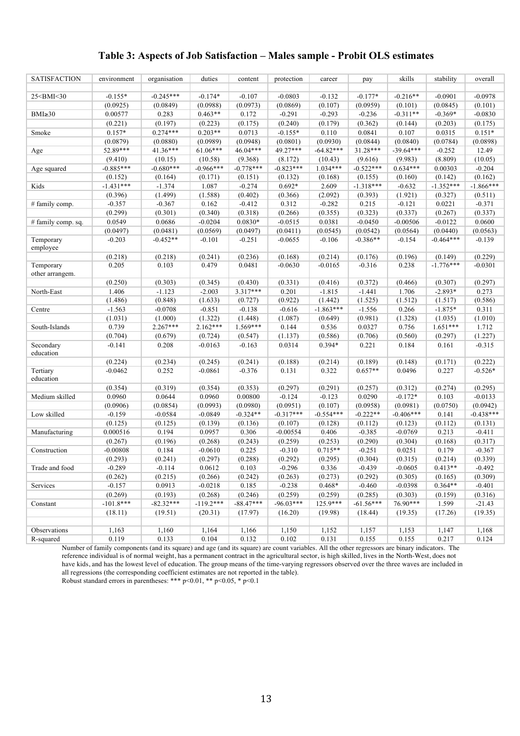#### **Table 3: Aspects of Job Satisfaction – Males sample - Probit OLS estimates**

| <b>SATISFACTION</b>                                                                                                                                                                                                                                                                                                             | environment | organisation | duties      | content     | protection  | career      | pay         | skills      | stability   | overall     |
|---------------------------------------------------------------------------------------------------------------------------------------------------------------------------------------------------------------------------------------------------------------------------------------------------------------------------------|-------------|--------------|-------------|-------------|-------------|-------------|-------------|-------------|-------------|-------------|
|                                                                                                                                                                                                                                                                                                                                 |             |              |             |             |             |             |             |             |             |             |
| 25 <bmi<30< td=""><td><math>-0.155*</math></td><td><math>-0.245***</math></td><td><math>-0.174*</math></td><td><math>-0.107</math></td><td><math>-0.0803</math></td><td><math>-0.132</math></td><td><math>-0.177*</math></td><td><math>-0.216**</math></td><td><math>-0.0901</math></td><td><math>-0.0978</math></td></bmi<30<> | $-0.155*$   | $-0.245***$  | $-0.174*$   | $-0.107$    | $-0.0803$   | $-0.132$    | $-0.177*$   | $-0.216**$  | $-0.0901$   | $-0.0978$   |
|                                                                                                                                                                                                                                                                                                                                 | (0.0925)    | (0.0849)     | (0.0988)    | (0.0973)    | (0.0869)    | (0.107)     | (0.0959)    | (0.101)     | (0.0845)    | (0.101)     |
| $BMI \geq 30$                                                                                                                                                                                                                                                                                                                   | 0.00577     | 0.283        | $0.463**$   | 0.172       | $-0.291$    | $-0.293$    | $-0.236$    | $-0.311**$  | $-0.369*$   | $-0.0830$   |
|                                                                                                                                                                                                                                                                                                                                 | (0.221)     | (0.197)      | (0.223)     | (0.175)     | (0.240)     | (0.179)     | (0.362)     | (0.144)     | (0.203)     | (0.175)     |
| Smoke                                                                                                                                                                                                                                                                                                                           | $0.157*$    | $0.274***$   | $0.203**$   | 0.0713      | $-0.155*$   | 0.110       | 0.0841      | 0.107       | 0.0315      | $0.151*$    |
|                                                                                                                                                                                                                                                                                                                                 | (0.0879)    | (0.0880)     | (0.0989)    | (0.0948)    | (0.0801)    | (0.0930)    | (0.0844)    | (0.0840)    | (0.0784)    | (0.0898)    |
| Age                                                                                                                                                                                                                                                                                                                             | 52.89***    | 41.36***     | 61.06***    | 46.04***    | 49.27***    | $-64.82***$ | 31.28***    | $-39.64***$ | $-0.252$    | 12.49       |
|                                                                                                                                                                                                                                                                                                                                 | (9.410)     | (10.15)      | (10.58)     | (9.368)     | (8.172)     | (10.43)     | (9.616)     | (9.983)     | (8.809)     | (10.05)     |
| Age squared                                                                                                                                                                                                                                                                                                                     | $-0.885***$ | $-0.680***$  | $-0.966***$ | $-0.778***$ | $-0.823***$ | $1.034***$  | $-0.522***$ | $0.634***$  | 0.00303     | $-0.204$    |
|                                                                                                                                                                                                                                                                                                                                 | (0.152)     | (0.164)      | (0.171)     | (0.151)     | (0.132)     | (0.168)     | (0.155)     | (0.160)     | (0.142)     | (0.162)     |
| Kids                                                                                                                                                                                                                                                                                                                            | $-1.431***$ | $-1.374$     | 1.087       | $-0.274$    | $0.692*$    | 2.609       | $-1.318***$ | $-0.632$    | $-1.352***$ | $-1.866***$ |
|                                                                                                                                                                                                                                                                                                                                 | (0.396)     | (1.499)      | (1.588)     | (0.402)     | (0.366)     | (2.092)     | (0.393)     | (1.921)     | (0.327)     | (0.511)     |
| # family comp.                                                                                                                                                                                                                                                                                                                  | $-0.357$    | $-0.367$     | 0.162       | $-0.412$    | 0.312       | $-0.282$    | 0.215       | $-0.121$    | 0.0221      | $-0.371$    |
|                                                                                                                                                                                                                                                                                                                                 | (0.299)     | (0.301)      | (0.340)     | (0.318)     | (0.266)     | (0.355)     | (0.323)     | (0.337)     | (0.267)     | (0.337)     |
| # family comp. sq.                                                                                                                                                                                                                                                                                                              | 0.0549      | 0.0686       | $-0.0204$   | $0.0830*$   | $-0.0515$   | 0.0381      | $-0.0450$   | $-0.00506$  | $-0.0122$   | 0.0600      |
|                                                                                                                                                                                                                                                                                                                                 | (0.0497)    | (0.0481)     | (0.0569)    | (0.0497)    | (0.0411)    | (0.0545)    | (0.0542)    | (0.0564)    | (0.0440)    | (0.0563)    |
| Temporary<br>employee                                                                                                                                                                                                                                                                                                           | $-0.203$    | $-0.452**$   | $-0.101$    | $-0.251$    | $-0.0655$   | $-0.106$    | $-0.386**$  | $-0.154$    | $-0.464***$ | $-0.139$    |
|                                                                                                                                                                                                                                                                                                                                 | (0.218)     | (0.218)      | (0.241)     | (0.236)     | (0.168)     | (0.214)     | (0.176)     | (0.196)     | (0.149)     | (0.229)     |
| Temporary<br>other arrangem.                                                                                                                                                                                                                                                                                                    | 0.205       | 0.103        | 0.479       | 0.0481      | $-0.0630$   | $-0.0165$   | $-0.316$    | 0.238       | $-1.776***$ | $-0.0301$   |
|                                                                                                                                                                                                                                                                                                                                 | (0.250)     | (0.303)      | (0.345)     | (0.430)     | (0.331)     | (0.416)     | (0.372)     | (0.466)     | (0.307)     | (0.297)     |
| North-East                                                                                                                                                                                                                                                                                                                      | 1.406       | $-1.123$     | $-2.003$    | $3.317***$  | 0.201       | $-1.815$    | $-1.441$    | 1.706       | $-2.893*$   | 0.273       |
|                                                                                                                                                                                                                                                                                                                                 | (1.486)     | (0.848)      | (1.633)     | (0.727)     | (0.922)     | (1.442)     | (1.525)     | (1.512)     | (1.517)     | (0.586)     |
| Centre                                                                                                                                                                                                                                                                                                                          | $-1.563$    | $-0.0708$    | $-0.851$    | $-0.138$    | $-0.616$    | $-1.863***$ | $-1.556$    | 0.266       | $-1.875*$   | 0.311       |
|                                                                                                                                                                                                                                                                                                                                 | (1.031)     | (1.000)      | (1.322)     | (1.448)     | (1.087)     | (0.649)     | (0.981)     | (1.328)     | (1.035)     | (1.010)     |
| South-Islands                                                                                                                                                                                                                                                                                                                   | 0.739       | 2.267***     | $2.162***$  | $1.569***$  | 0.144       | 0.536       | 0.0327      | 0.756       | $1.651***$  | 1.712       |
|                                                                                                                                                                                                                                                                                                                                 | (0.704)     | (0.679)      | (0.724)     | (0.547)     | (1.137)     | (0.586)     | (0.706)     | (0.560)     | (0.297)     | (1.227)     |
| Secondary<br>education                                                                                                                                                                                                                                                                                                          | $-0.141$    | 0.208        | $-0.0163$   | $-0.163$    | 0.0314      | $0.394*$    | 0.221       | 0.184       | 0.161       | $-0.315$    |
|                                                                                                                                                                                                                                                                                                                                 | (0.224)     | (0.234)      | (0.245)     | (0.241)     | (0.188)     | (0.214)     | (0.189)     | (0.148)     | (0.171)     | (0.222)     |
| Tertiary<br>education                                                                                                                                                                                                                                                                                                           | $-0.0462$   | 0.252        | $-0.0861$   | $-0.376$    | 0.131       | 0.322       | $0.657**$   | 0.0496      | 0.227       | $-0.526*$   |
|                                                                                                                                                                                                                                                                                                                                 | (0.354)     | (0.319)      | (0.354)     | (0.353)     | (0.297)     | (0.291)     | (0.257)     | (0.312)     | (0.274)     | (0.295)     |
| Medium skilled                                                                                                                                                                                                                                                                                                                  | 0.0960      | 0.0644       | 0.0960      | 0.00800     | $-0.124$    | $-0.123$    | 0.0290      | $-0.172*$   | 0.103       | $-0.0133$   |
|                                                                                                                                                                                                                                                                                                                                 | (0.0906)    | (0.0854)     | (0.0993)    | (0.0980)    | (0.0951)    | (0.107)     | (0.0958)    | (0.0981)    | (0.0750)    | (0.0942)    |
| Low skilled                                                                                                                                                                                                                                                                                                                     | $-0.159$    | $-0.0584$    | $-0.0849$   | $-0.324**$  | $-0.317***$ | $-0.554***$ | $-0.222**$  | $-0.406***$ | 0.141       | $-0.438***$ |
|                                                                                                                                                                                                                                                                                                                                 | (0.125)     | (0.125)      | (0.139)     | (0.136)     | (0.107)     | (0.128)     | (0.112)     | (0.123)     | (0.112)     | (0.131)     |
| Manufacturing                                                                                                                                                                                                                                                                                                                   | 0.000516    | 0.194        | 0.0957      | 0.306       | $-0.00554$  | 0.406       | $-0.385$    | $-0.0769$   | 0.213       | $-0.411$    |
|                                                                                                                                                                                                                                                                                                                                 | (0.267)     | (0.196)      | (0.268)     | (0.243)     | (0.259)     | (0.253)     | (0.290)     | (0.304)     | (0.168)     | (0.317)     |
| Construction                                                                                                                                                                                                                                                                                                                    | $-0.00808$  | 0.184        | $-0.0610$   | 0.225       | $-0.310$    | $0.715**$   | $-0.251$    | 0.0251      | 0.179       | $-0.367$    |
|                                                                                                                                                                                                                                                                                                                                 | (0.293)     | (0.241)      | (0.297)     | (0.288)     | (0.292)     | (0.295)     | (0.304)     | (0.315)     | (0.214)     | (0.339)     |
| Trade and food                                                                                                                                                                                                                                                                                                                  | $-0.289$    | $-0.114$     | 0.0612      | 0.103       | $-0.296$    | 0.336       | $-0.439$    | $-0.0605$   | $0.413**$   | $-0.492$    |
|                                                                                                                                                                                                                                                                                                                                 | (0.262)     | (0.215)      | (0.266)     | (0.242)     | (0.263)     | (0.273)     | (0.292)     | (0.305)     | (0.165)     | (0.309)     |
| Services                                                                                                                                                                                                                                                                                                                        | $-0.157$    | 0.0913       | $-0.0218$   | 0.185       | $-0.238$    | $0.468*$    | $-0.460$    | $-0.0398$   | $0.364**$   | $-0.401$    |
|                                                                                                                                                                                                                                                                                                                                 | (0.269)     | (0.193)      | (0.268)     | (0.246)     | (0.259)     | (0.259)     | (0.285)     | (0.303)     | (0.159)     | (0.316)     |
| Constant                                                                                                                                                                                                                                                                                                                        | $-101.8***$ | $-82.32***$  | $-119.2***$ | $-88.47***$ | $-96.03***$ | 125.9***    | $-61.56***$ | 76.90***    | 1.599       | $-21.43$    |
|                                                                                                                                                                                                                                                                                                                                 | (18.11)     | (19.51)      | (20.31)     | (17.97)     | (16.20)     | (19.98)     | (18.44)     | (19.35)     | (17.26)     | (19.35)     |
|                                                                                                                                                                                                                                                                                                                                 |             |              |             |             |             |             |             |             |             |             |
| Observations                                                                                                                                                                                                                                                                                                                    | 1,163       | 1,160        | 1,164       | 1,166       | 1,150       | 1,152       | 1,157       | 1,153       | 1,147       | 1,168       |
| R-squared                                                                                                                                                                                                                                                                                                                       | 0.119       | 0.133        | 0.104       | 0.132       | 0.102       | 0.131       | 0.155       | 0.155       | 0.217       | 0.124       |

Number of family components (and its square) and age (and its square) are count variables. All the other regressors are binary indicators. The reference individual is of normal weight, has a permanent contract in the agricultural sector, is high skilled, lives in the North-West, does not have kids, and has the lowest level of education. The group means of the time-varying regressors observed over the three waves are included in all regressions (the corresponding coefficient estimates are not reported in the table).

Robust standard errors in parentheses: \*\*\* p<0.01, \*\* p<0.05, \* p<0.1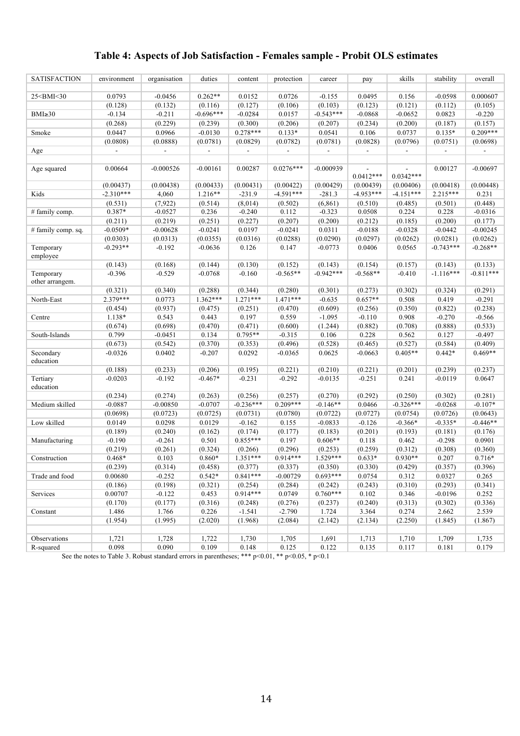### **Table 4: Aspects of Job Satisfaction - Females sample - Probit OLS estimates**

| <b>SATISFACTION</b>                                                                                                                                                                                                                        | environment | organisation | duties                   | content     | protection               | career      | pay         | skills      | stability   | overall     |
|--------------------------------------------------------------------------------------------------------------------------------------------------------------------------------------------------------------------------------------------|-------------|--------------|--------------------------|-------------|--------------------------|-------------|-------------|-------------|-------------|-------------|
|                                                                                                                                                                                                                                            |             |              |                          |             |                          |             |             |             |             |             |
| 25 <bmi<30< td=""><td>0.0793</td><td><math>-0.0456</math></td><td><math>0.262**</math></td><td>0.0152</td><td>0.0726</td><td><math>-0.155</math></td><td>0.0495</td><td>0.156</td><td><math>-0.0598</math></td><td>0.000607</td></bmi<30<> | 0.0793      | $-0.0456$    | $0.262**$                | 0.0152      | 0.0726                   | $-0.155$    | 0.0495      | 0.156       | $-0.0598$   | 0.000607    |
|                                                                                                                                                                                                                                            | (0.128)     | (0.132)      | (0.116)                  | (0.127)     | (0.106)                  | (0.103)     | (0.123)     | (0.121)     | (0.112)     | (0.105)     |
| $BMI \geq 30$                                                                                                                                                                                                                              | $-0.134$    | $-0.211$     | $-0.696***$              | $-0.0284$   | 0.0157                   | $-0.543***$ | $-0.0868$   | $-0.0652$   | 0.0823      | $-0.220$    |
|                                                                                                                                                                                                                                            | (0.268)     | (0.229)      | (0.239)                  | (0.300)     | (0.206)                  | (0.207)     | (0.234)     | (0.200)     | (0.187)     | (0.157)     |
| Smoke                                                                                                                                                                                                                                      | 0.0447      | 0.0966       | $-0.0130$                | $0.278***$  | $0.133*$                 | 0.0541      | 0.106       | 0.0737      | $0.135*$    | $0.209***$  |
|                                                                                                                                                                                                                                            | (0.0808)    | (0.0888)     | (0.0781)                 | (0.0829)    | (0.0782)                 | (0.0781)    | (0.0828)    | (0.0796)    | (0.0751)    | (0.0698)    |
| Age                                                                                                                                                                                                                                        |             |              | $\overline{\phantom{a}}$ |             | $\overline{\phantom{a}}$ |             |             |             |             |             |
|                                                                                                                                                                                                                                            |             |              |                          |             |                          |             |             |             |             |             |
| Age squared                                                                                                                                                                                                                                | 0.00664     | $-0.000526$  | $-0.00161$               | 0.00287     | $0.0276***$              | $-0.000939$ | $0.0412***$ | $0.0342***$ | 0.00127     | $-0.00697$  |
|                                                                                                                                                                                                                                            | (0.00437)   | (0.00438)    | (0.00433)                | (0.00431)   | (0.00422)                | (0.00429)   | (0.00439)   | (0.00406)   | (0.00418)   | (0.00448)   |
| Kids                                                                                                                                                                                                                                       | $-2.310***$ | 4,060        | $1.216**$                | $-231.9$    | $-4.591***$              | $-281.3$    | $-4.953***$ | $-4.151***$ | $2.215***$  | 0.231       |
|                                                                                                                                                                                                                                            | (0.531)     | (7, 922)     | (0.514)                  | (8,014)     | (0.502)                  | (6, 861)    | (0.510)     | (0.485)     | (0.501)     | (0.448)     |
| # family comp.                                                                                                                                                                                                                             | 0.387*      | $-0.0527$    | 0.236                    | $-0.240$    | 0.112                    | $-0.323$    | 0.0508      | 0.224       | 0.228       | $-0.0316$   |
|                                                                                                                                                                                                                                            | (0.211)     | (0.219)      | (0.251)                  | (0.227)     | (0.207)                  | (0.200)     | (0.212)     | (0.185)     | (0.200)     | (0.177)     |
| # family comp. sq.                                                                                                                                                                                                                         | $-0.0509*$  | $-0.00628$   | $-0.0241$                | 0.0197      | $-0.0241$                | 0.0311      | $-0.0188$   | $-0.0328$   | $-0.0442$   | $-0.00245$  |
|                                                                                                                                                                                                                                            | (0.0303)    | (0.0313)     | (0.0355)                 | (0.0316)    | (0.0288)                 | (0.0290)    | (0.0297)    | (0.0262)    | (0.0281)    | (0.0262)    |
| Temporary                                                                                                                                                                                                                                  | $-0.293**$  | $-0.192$     | $-0.0636$                | 0.126       | 0.147                    | $-0.0773$   | 0.0406      | 0.0565      | $-0.743***$ | $-0.268**$  |
| employee                                                                                                                                                                                                                                   |             |              |                          |             |                          |             |             |             |             |             |
|                                                                                                                                                                                                                                            | (0.143)     | (0.168)      | (0.144)                  | (0.130)     | (0.152)                  | (0.143)     | (0.154)     | (0.157)     | (0.143)     | (0.133)     |
| Temporary                                                                                                                                                                                                                                  | $-0.396$    | $-0.529$     | $-0.0768$                | $-0.160$    | $-0.565**$               | $-0.942***$ | $-0.568**$  | $-0.410$    | $-1.116***$ | $-0.811***$ |
| other arrangem.                                                                                                                                                                                                                            |             |              |                          |             |                          |             |             |             |             |             |
|                                                                                                                                                                                                                                            | (0.321)     | (0.340)      | (0.288)                  | (0.344)     | (0.280)                  | (0.301)     | (0.273)     | (0.302)     | (0.324)     | (0.291)     |
| North-East                                                                                                                                                                                                                                 | $2.379***$  | 0.0773       | $1.362***$               | $1.271***$  | $1.471***$               | $-0.635$    | $0.657**$   | 0.508       | 0.419       | $-0.291$    |
|                                                                                                                                                                                                                                            | (0.454)     | (0.937)      | (0.475)                  | (0.251)     | (0.470)                  | (0.609)     | (0.256)     | (0.350)     | (0.822)     | (0.238)     |
| Centre                                                                                                                                                                                                                                     | 1.138*      | 0.543        | 0.443                    | 0.197       | 0.559                    | $-1.095$    | $-0.110$    | 0.908       | $-0.270$    | $-0.566$    |
|                                                                                                                                                                                                                                            | (0.674)     | (0.698)      | (0.470)                  | (0.471)     | (0.600)                  | (1.244)     | (0.882)     | (0.708)     | (0.888)     | (0.533)     |
| South-Islands                                                                                                                                                                                                                              | 0.799       | $-0.0451$    | 0.134                    | $0.795**$   | $-0.315$                 | 0.106       | 0.228       | 0.562       | 0.127       | $-0.497$    |
|                                                                                                                                                                                                                                            | (0.673)     | (0.542)      | (0.370)                  | (0.353)     | (0.496)                  | (0.528)     | (0.465)     | (0.527)     | (0.584)     | (0.409)     |
| Secondary                                                                                                                                                                                                                                  | $-0.0326$   | 0.0402       | $-0.207$                 | 0.0292      | $-0.0365$                | 0.0625      | $-0.0663$   | $0.405**$   | $0.442*$    | $0.469**$   |
| education                                                                                                                                                                                                                                  |             |              |                          |             |                          |             |             |             |             |             |
|                                                                                                                                                                                                                                            | (0.188)     | (0.233)      | (0.206)                  | (0.195)     | (0.221)                  | (0.210)     | (0.221)     | (0.201)     | (0.239)     | (0.237)     |
| Tertiary<br>education                                                                                                                                                                                                                      | $-0.0203$   | $-0.192$     | $-0.467*$                | $-0.231$    | $-0.292$                 | $-0.0135$   | $-0.251$    | 0.241       | $-0.0119$   | 0.0647      |
|                                                                                                                                                                                                                                            | (0.234)     | (0.274)      | (0.263)                  | (0.256)     | (0.257)                  | (0.270)     | (0.292)     | (0.250)     | (0.302)     | (0.281)     |
| Medium skilled                                                                                                                                                                                                                             | $-0.0887$   | $-0.00850$   | $-0.0707$                | $-0.236***$ | $0.209***$               | $-0.146**$  | 0.0466      | $-0.326***$ | $-0.0268$   | $-0.107*$   |
|                                                                                                                                                                                                                                            | (0.0698)    | (0.0723)     | (0.0725)                 | (0.0731)    | (0.0780)                 | (0.0722)    | (0.0727)    | (0.0754)    | (0.0726)    | (0.0643)    |
| Low skilled                                                                                                                                                                                                                                | 0.0149      | 0.0298       | 0.0129                   | $-0.162$    | 0.155                    | $-0.0833$   | $-0.126$    | $-0.366*$   | $-0.335*$   | $-0.446**$  |
|                                                                                                                                                                                                                                            | (0.189)     | (0.240)      | (0.162)                  | (0.174)     | (0.177)                  | (0.183)     | (0.201)     | (0.193)     | (0.181)     | (0.176)     |
| Manufacturing                                                                                                                                                                                                                              | $-0.190$    | $-0.261$     | 0.501                    | $0.855***$  | 0.197                    | $0.606**$   | 0.118       | 0.462       | $-0.298$    | 0.0901      |
|                                                                                                                                                                                                                                            | (0.219)     | (0.261)      | (0.324)                  | (0.266)     | (0.296)                  | (0.253)     | (0.259)     | (0.312)     | (0.308)     | (0.360)     |
| Construction                                                                                                                                                                                                                               | $0.468*$    | 0.103        | $0.860*$                 | $1.351***$  | 0.914***                 | 1.529***    | $0.633*$    | $0.930**$   | 0.207       | $0.716*$    |
|                                                                                                                                                                                                                                            | (0.239)     | (0.314)      | (0.458)                  | (0.377)     | (0.337)                  | (0.350)     | (0.330)     | (0.429)     | (0.357)     | (0.396)     |
| Trade and food                                                                                                                                                                                                                             | 0.00680     | $-0.252$     | $0.542*$                 | $0.841***$  | $-0.00729$               | $0.693***$  | 0.0754      | 0.312       | 0.0327      | 0.265       |
|                                                                                                                                                                                                                                            | (0.186)     | (0.198)      | (0.321)                  | (0.254)     | (0.284)                  | (0.242)     | (0.243)     | (0.310)     | (0.293)     | (0.341)     |
| Services                                                                                                                                                                                                                                   | 0.00707     | $-0.122$     | 0.453                    | $0.914***$  | 0.0749                   | $0.760***$  | 0.102       | 0.346       | $-0.0196$   | 0.252       |
|                                                                                                                                                                                                                                            | (0.170)     | (0.177)      | (0.316)                  | (0.248)     | (0.276)                  | (0.237)     | (0.240)     | (0.313)     | (0.302)     | (0.336)     |
| Constant                                                                                                                                                                                                                                   | 1.486       | 1.766        | 0.226                    | $-1.541$    | $-2.790$                 | 1.724       | 3.364       | 0.274       | 2.662       | 2.539       |
|                                                                                                                                                                                                                                            | (1.954)     | (1.995)      | (2.020)                  | (1.968)     | (2.084)                  | (2.142)     | (2.134)     | (2.250)     | (1.845)     | (1.867)     |
|                                                                                                                                                                                                                                            |             |              |                          |             |                          |             |             |             |             |             |
| Observations                                                                                                                                                                                                                               | 1,721       | 1,728        | 1,722                    | 1,730       | 1,705                    | 1,691       | 1,713       | 1,710       | 1,709       | 1,735       |
| R-squared                                                                                                                                                                                                                                  | 0.098       | 0.090        | 0.109                    | 0.148       | 0.125                    | 0.122       | 0.135       | 0.117       | 0.181       | 0.179       |

See the notes to Table 3. Robust standard errors in parentheses; \*\*\*  $p<0.01$ , \*\*  $p<0.05$ , \*  $p<0.1$